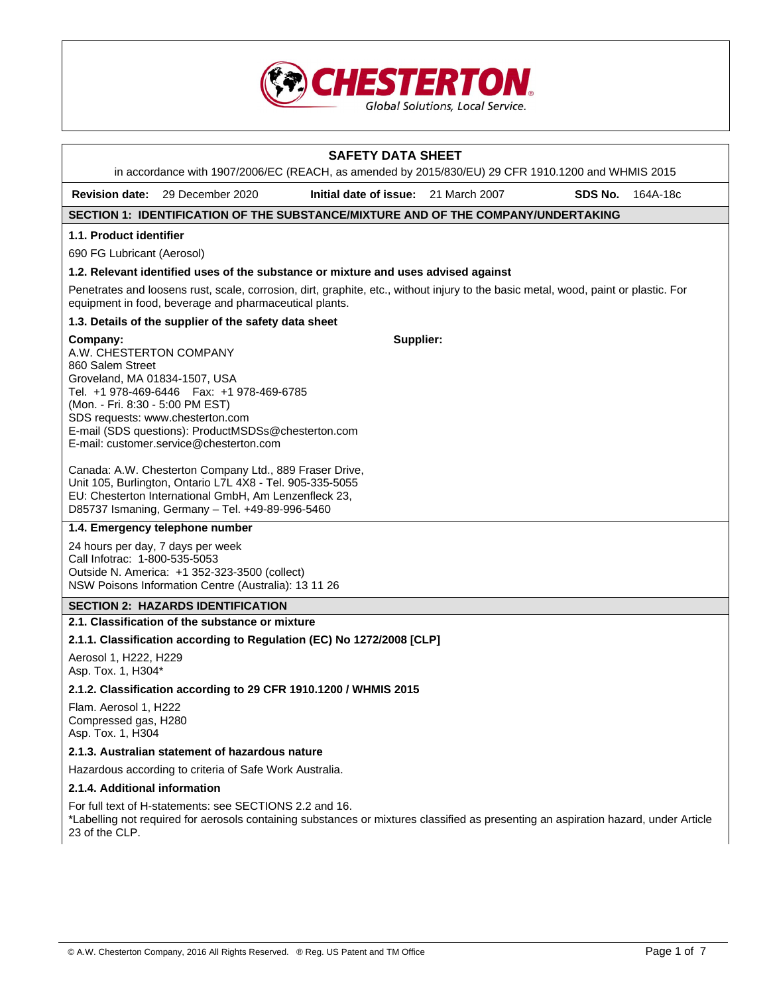

| <b>SAFETY DATA SHEET</b><br>in accordance with 1907/2006/EC (REACH, as amended by 2015/830/EU) 29 CFR 1910.1200 and WHMIS 2015                                                                |                                                                                                                                                                                                                                  |                                                                                                                                     |  |         |          |
|-----------------------------------------------------------------------------------------------------------------------------------------------------------------------------------------------|----------------------------------------------------------------------------------------------------------------------------------------------------------------------------------------------------------------------------------|-------------------------------------------------------------------------------------------------------------------------------------|--|---------|----------|
| <b>Revision date:</b>                                                                                                                                                                         | 29 December 2020                                                                                                                                                                                                                 | Initial date of issue: 21 March 2007                                                                                                |  | SDS No. | 164A-18c |
|                                                                                                                                                                                               |                                                                                                                                                                                                                                  | SECTION 1: IDENTIFICATION OF THE SUBSTANCE/MIXTURE AND OF THE COMPANY/UNDERTAKING                                                   |  |         |          |
| 1.1. Product identifier                                                                                                                                                                       |                                                                                                                                                                                                                                  |                                                                                                                                     |  |         |          |
| 690 FG Lubricant (Aerosol)                                                                                                                                                                    |                                                                                                                                                                                                                                  |                                                                                                                                     |  |         |          |
| 1.2. Relevant identified uses of the substance or mixture and uses advised against                                                                                                            |                                                                                                                                                                                                                                  |                                                                                                                                     |  |         |          |
| Penetrates and loosens rust, scale, corrosion, dirt, graphite, etc., without injury to the basic metal, wood, paint or plastic. For<br>equipment in food, beverage and pharmaceutical plants. |                                                                                                                                                                                                                                  |                                                                                                                                     |  |         |          |
|                                                                                                                                                                                               | 1.3. Details of the supplier of the safety data sheet                                                                                                                                                                            |                                                                                                                                     |  |         |          |
| Company:<br>A.W. CHESTERTON COMPANY<br>860 Salem Street<br>Groveland, MA 01834-1507, USA<br>(Mon. - Fri. 8:30 - 5:00 PM EST)                                                                  | Tel. +1 978-469-6446    Fax: +1 978-469-6785<br>SDS requests: www.chesterton.com<br>E-mail (SDS questions): ProductMSDSs@chesterton.com<br>E-mail: customer.service@chesterton.com                                               | Supplier:                                                                                                                           |  |         |          |
|                                                                                                                                                                                               | Canada: A.W. Chesterton Company Ltd., 889 Fraser Drive,<br>Unit 105, Burlington, Ontario L7L 4X8 - Tel. 905-335-5055<br>EU: Chesterton International GmbH, Am Lenzenfleck 23,<br>D85737 Ismaning, Germany - Tel. +49-89-996-5460 |                                                                                                                                     |  |         |          |
|                                                                                                                                                                                               | 1.4. Emergency telephone number                                                                                                                                                                                                  |                                                                                                                                     |  |         |          |
| 24 hours per day, 7 days per week<br>Call Infotrac: 1-800-535-5053                                                                                                                            | Outside N. America: +1 352-323-3500 (collect)<br>NSW Poisons Information Centre (Australia): 13 11 26                                                                                                                            |                                                                                                                                     |  |         |          |
|                                                                                                                                                                                               | <b>SECTION 2: HAZARDS IDENTIFICATION</b>                                                                                                                                                                                         |                                                                                                                                     |  |         |          |
|                                                                                                                                                                                               | 2.1. Classification of the substance or mixture                                                                                                                                                                                  |                                                                                                                                     |  |         |          |
|                                                                                                                                                                                               |                                                                                                                                                                                                                                  | 2.1.1. Classification according to Regulation (EC) No 1272/2008 [CLP]                                                               |  |         |          |
| Aerosol 1, H222, H229<br>Asp. Tox. 1, H304*                                                                                                                                                   |                                                                                                                                                                                                                                  |                                                                                                                                     |  |         |          |
|                                                                                                                                                                                               |                                                                                                                                                                                                                                  | 2.1.2. Classification according to 29 CFR 1910.1200 / WHMIS 2015                                                                    |  |         |          |
| Flam. Aerosol 1, H222<br>Compressed gas, H280<br>Asp. Tox. 1, H304                                                                                                                            |                                                                                                                                                                                                                                  |                                                                                                                                     |  |         |          |
|                                                                                                                                                                                               | 2.1.3. Australian statement of hazardous nature                                                                                                                                                                                  |                                                                                                                                     |  |         |          |
|                                                                                                                                                                                               | Hazardous according to criteria of Safe Work Australia.                                                                                                                                                                          |                                                                                                                                     |  |         |          |
| 2.1.4. Additional information                                                                                                                                                                 |                                                                                                                                                                                                                                  |                                                                                                                                     |  |         |          |
| 23 of the CLP.                                                                                                                                                                                | For full text of H-statements: see SECTIONS 2.2 and 16.                                                                                                                                                                          | *Labelling not required for aerosols containing substances or mixtures classified as presenting an aspiration hazard, under Article |  |         |          |
|                                                                                                                                                                                               |                                                                                                                                                                                                                                  |                                                                                                                                     |  |         |          |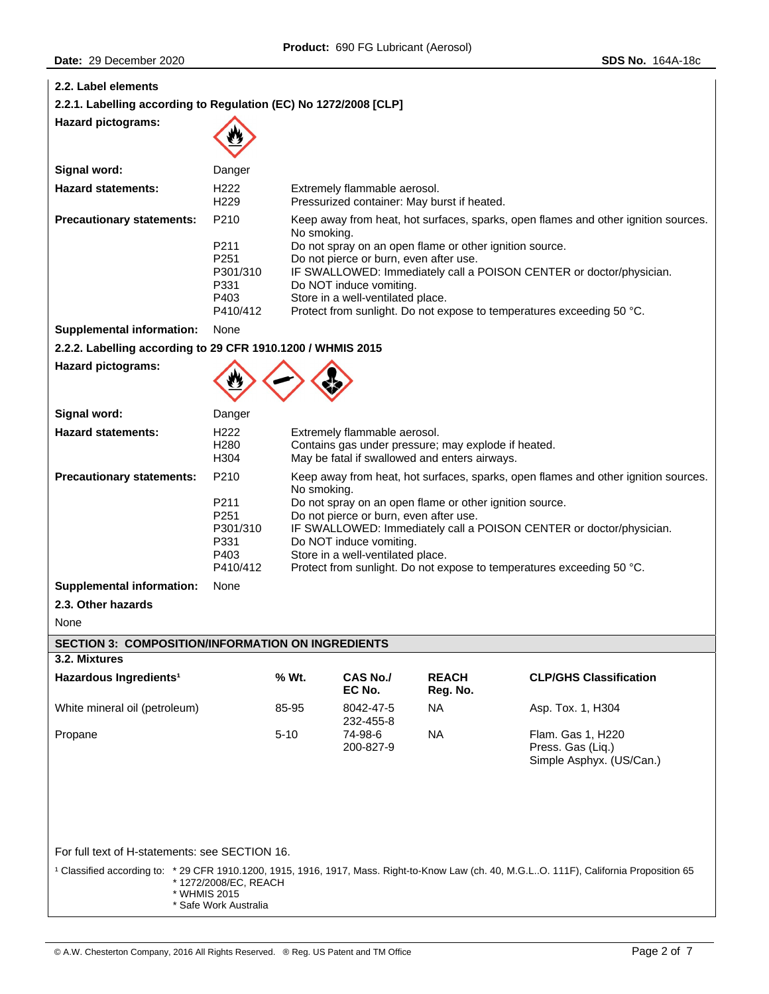| 2.2. Label elements                                                                                                                                                                                                   |                                                              |          |                                                                                                                                                                                                                                                                                                                                                                                                                        |                                             |                                                                    |  |  |
|-----------------------------------------------------------------------------------------------------------------------------------------------------------------------------------------------------------------------|--------------------------------------------------------------|----------|------------------------------------------------------------------------------------------------------------------------------------------------------------------------------------------------------------------------------------------------------------------------------------------------------------------------------------------------------------------------------------------------------------------------|---------------------------------------------|--------------------------------------------------------------------|--|--|
| 2.2.1. Labelling according to Regulation (EC) No 1272/2008 [CLP]                                                                                                                                                      |                                                              |          |                                                                                                                                                                                                                                                                                                                                                                                                                        |                                             |                                                                    |  |  |
| <b>Hazard pictograms:</b>                                                                                                                                                                                             |                                                              |          |                                                                                                                                                                                                                                                                                                                                                                                                                        |                                             |                                                                    |  |  |
| Signal word:                                                                                                                                                                                                          | Danger                                                       |          |                                                                                                                                                                                                                                                                                                                                                                                                                        |                                             |                                                                    |  |  |
| <b>Hazard statements:</b>                                                                                                                                                                                             | H <sub>222</sub><br>H <sub>229</sub>                         |          | Extremely flammable aerosol.                                                                                                                                                                                                                                                                                                                                                                                           | Pressurized container: May burst if heated. |                                                                    |  |  |
| <b>Precautionary statements:</b>                                                                                                                                                                                      | P210<br>P211<br>P251<br>P301/310<br>P331<br>P403<br>P410/412 |          | Keep away from heat, hot surfaces, sparks, open flames and other ignition sources.<br>No smoking.<br>Do not spray on an open flame or other ignition source.<br>Do not pierce or burn, even after use.<br>IF SWALLOWED: Immediately call a POISON CENTER or doctor/physician.<br>Do NOT induce vomiting.<br>Store in a well-ventilated place.<br>Protect from sunlight. Do not expose to temperatures exceeding 50 °C. |                                             |                                                                    |  |  |
| <b>Supplemental information:</b>                                                                                                                                                                                      | None                                                         |          |                                                                                                                                                                                                                                                                                                                                                                                                                        |                                             |                                                                    |  |  |
| 2.2.2. Labelling according to 29 CFR 1910.1200 / WHMIS 2015                                                                                                                                                           |                                                              |          |                                                                                                                                                                                                                                                                                                                                                                                                                        |                                             |                                                                    |  |  |
| <b>Hazard pictograms:</b>                                                                                                                                                                                             |                                                              |          |                                                                                                                                                                                                                                                                                                                                                                                                                        |                                             |                                                                    |  |  |
| Signal word:                                                                                                                                                                                                          | Danger                                                       |          |                                                                                                                                                                                                                                                                                                                                                                                                                        |                                             |                                                                    |  |  |
| <b>Hazard statements:</b>                                                                                                                                                                                             | H <sub>222</sub><br>H <sub>280</sub><br>H304                 |          | Extremely flammable aerosol.<br>Contains gas under pressure; may explode if heated.<br>May be fatal if swallowed and enters airways.                                                                                                                                                                                                                                                                                   |                                             |                                                                    |  |  |
| <b>Precautionary statements:</b>                                                                                                                                                                                      | P210                                                         |          | Keep away from heat, hot surfaces, sparks, open flames and other ignition sources.                                                                                                                                                                                                                                                                                                                                     |                                             |                                                                    |  |  |
|                                                                                                                                                                                                                       | P211<br>P251<br>P301/310<br>P331<br>P403<br>P410/412         |          | No smoking.<br>Do not spray on an open flame or other ignition source.<br>Do not pierce or burn, even after use.<br>IF SWALLOWED: Immediately call a POISON CENTER or doctor/physician.<br>Do NOT induce vomiting.<br>Store in a well-ventilated place.<br>Protect from sunlight. Do not expose to temperatures exceeding 50 °C.                                                                                       |                                             |                                                                    |  |  |
| <b>Supplemental information:</b>                                                                                                                                                                                      | None                                                         |          |                                                                                                                                                                                                                                                                                                                                                                                                                        |                                             |                                                                    |  |  |
| 2.3. Other hazards                                                                                                                                                                                                    |                                                              |          |                                                                                                                                                                                                                                                                                                                                                                                                                        |                                             |                                                                    |  |  |
| None                                                                                                                                                                                                                  |                                                              |          |                                                                                                                                                                                                                                                                                                                                                                                                                        |                                             |                                                                    |  |  |
| <b>SECTION 3: COMPOSITION/INFORMATION ON INGREDIENTS</b>                                                                                                                                                              |                                                              |          |                                                                                                                                                                                                                                                                                                                                                                                                                        |                                             |                                                                    |  |  |
| 3.2. Mixtures                                                                                                                                                                                                         |                                                              |          |                                                                                                                                                                                                                                                                                                                                                                                                                        |                                             |                                                                    |  |  |
| Hazardous Ingredients <sup>1</sup>                                                                                                                                                                                    |                                                              | % Wt.    | <b>CAS No./</b><br>EC No.                                                                                                                                                                                                                                                                                                                                                                                              | <b>REACH</b><br>Reg. No.                    | <b>CLP/GHS Classification</b>                                      |  |  |
| White mineral oil (petroleum)                                                                                                                                                                                         |                                                              | 85-95    | 8042-47-5                                                                                                                                                                                                                                                                                                                                                                                                              | <b>NA</b>                                   | Asp. Tox. 1, H304                                                  |  |  |
| Propane                                                                                                                                                                                                               |                                                              | $5 - 10$ | 232-455-8<br>74-98-6<br>200-827-9                                                                                                                                                                                                                                                                                                                                                                                      | <b>NA</b>                                   | Flam. Gas 1, H220<br>Press. Gas (Liq.)<br>Simple Asphyx. (US/Can.) |  |  |
| For full text of H-statements: see SECTION 16.                                                                                                                                                                        |                                                              |          |                                                                                                                                                                                                                                                                                                                                                                                                                        |                                             |                                                                    |  |  |
| <sup>1</sup> Classified according to: *29 CFR 1910.1200, 1915, 1916, 1917, Mass. Right-to-Know Law (ch. 40, M.G.LO. 111F), California Proposition 65<br>*1272/2008/EC, REACH<br>* WHMIS 2015<br>* Safe Work Australia |                                                              |          |                                                                                                                                                                                                                                                                                                                                                                                                                        |                                             |                                                                    |  |  |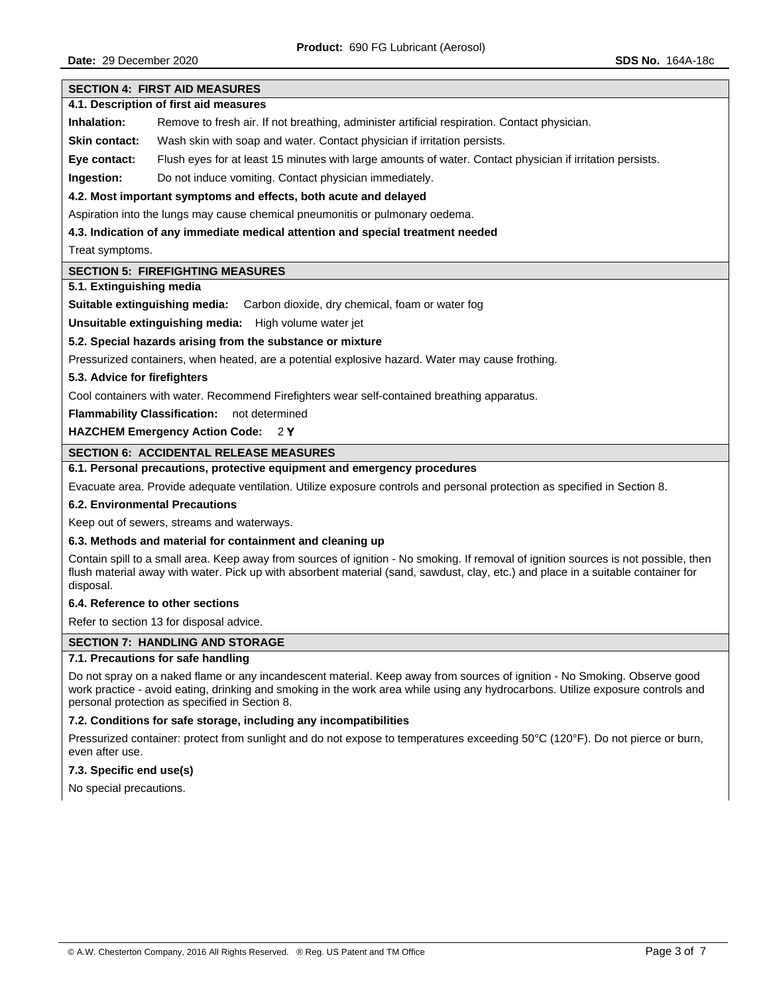# **SECTION 4: FIRST AID MEASURES**

# **4.1. Description of first aid measures**

**Inhalation:** Remove to fresh air. If not breathing, administer artificial respiration. Contact physician.

**Skin contact:** Wash skin with soap and water. Contact physician if irritation persists.

**Eye contact:** Flush eyes for at least 15 minutes with large amounts of water. Contact physician if irritation persists.

**Ingestion:** Do not induce vomiting. Contact physician immediately.

## **4.2. Most important symptoms and effects, both acute and delayed**

Aspiration into the lungs may cause chemical pneumonitis or pulmonary oedema.

### **4.3. Indication of any immediate medical attention and special treatment needed**

Treat symptoms.

#### **SECTION 5: FIREFIGHTING MEASURES**

#### **5.1. Extinguishing media**

**Suitable extinguishing media:** Carbon dioxide, dry chemical, foam or water fog

**Unsuitable extinguishing media:** High volume water jet

## **5.2. Special hazards arising from the substance or mixture**

Pressurized containers, when heated, are a potential explosive hazard. Water may cause frothing.

#### **5.3. Advice for firefighters**

Cool containers with water. Recommend Firefighters wear self-contained breathing apparatus.

**Flammability Classification:** not determined

**HAZCHEM Emergency Action Code:** 2 **Y**

### **SECTION 6: ACCIDENTAL RELEASE MEASURES**

# **6.1. Personal precautions, protective equipment and emergency procedures**

Evacuate area. Provide adequate ventilation. Utilize exposure controls and personal protection as specified in Section 8.

### **6.2. Environmental Precautions**

Keep out of sewers, streams and waterways.

#### **6.3. Methods and material for containment and cleaning up**

Contain spill to a small area. Keep away from sources of ignition - No smoking. If removal of ignition sources is not possible, then flush material away with water. Pick up with absorbent material (sand, sawdust, clay, etc.) and place in a suitable container for disposal.

### **6.4. Reference to other sections**

Refer to section 13 for disposal advice.

### **SECTION 7: HANDLING AND STORAGE**

### **7.1. Precautions for safe handling**

Do not spray on a naked flame or any incandescent material. Keep away from sources of ignition - No Smoking. Observe good work practice - avoid eating, drinking and smoking in the work area while using any hydrocarbons. Utilize exposure controls and personal protection as specified in Section 8.

### **7.2. Conditions for safe storage, including any incompatibilities**

Pressurized container: protect from sunlight and do not expose to temperatures exceeding 50°C (120°F). Do not pierce or burn, even after use.

### **7.3. Specific end use(s)**

No special precautions.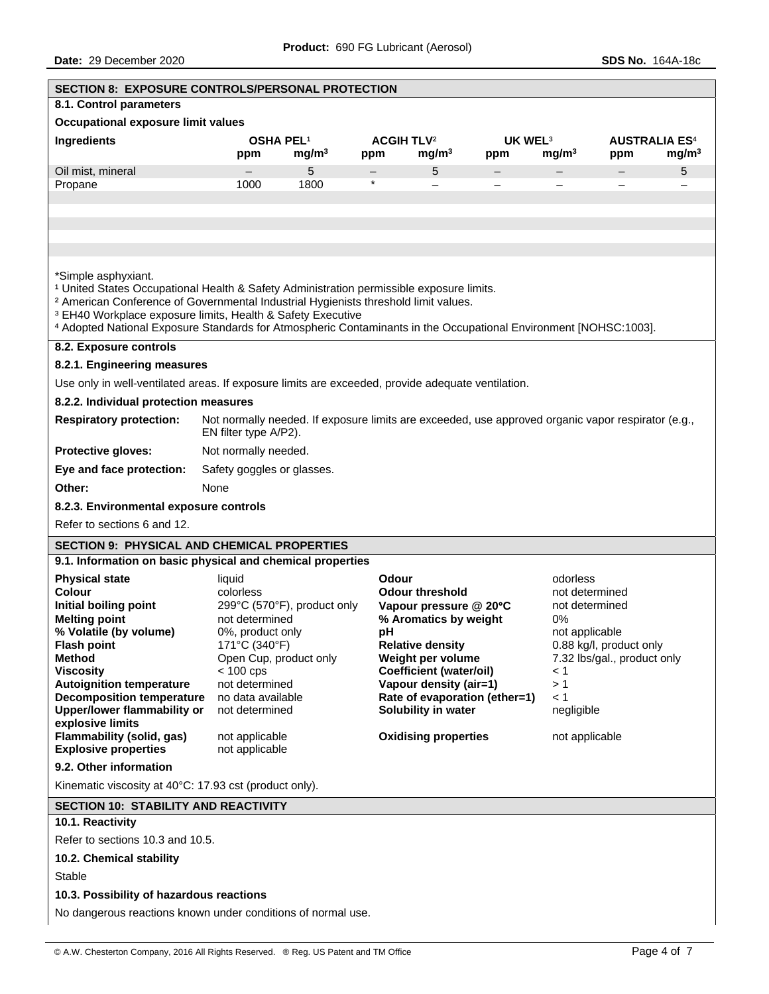| <b>SECTION 8: EXPOSURE CONTROLS/PERSONAL PROTECTION</b>                                                                                                                                                                      |                                                                                                                             |                   |                              |                                                       |                               |                                  |                             |                   |
|------------------------------------------------------------------------------------------------------------------------------------------------------------------------------------------------------------------------------|-----------------------------------------------------------------------------------------------------------------------------|-------------------|------------------------------|-------------------------------------------------------|-------------------------------|----------------------------------|-----------------------------|-------------------|
| 8.1. Control parameters                                                                                                                                                                                                      |                                                                                                                             |                   |                              |                                                       |                               |                                  |                             |                   |
| Occupational exposure limit values                                                                                                                                                                                           |                                                                                                                             |                   |                              |                                                       |                               |                                  |                             |                   |
| Ingredients                                                                                                                                                                                                                  | OSHA PEL <sup>1</sup>                                                                                                       |                   | <b>ACGIH TLV<sup>2</sup></b> |                                                       | UK WEL <sup>3</sup>           |                                  | <b>AUSTRALIA ES4</b>        |                   |
|                                                                                                                                                                                                                              | ppm                                                                                                                         | mg/m <sup>3</sup> | ppm                          | mg/m <sup>3</sup>                                     | ppm                           | mg/m <sup>3</sup>                | ppm                         | mg/m <sup>3</sup> |
| Oil mist, mineral                                                                                                                                                                                                            |                                                                                                                             | 5<br>1800         | $\star$                      | 5                                                     |                               |                                  |                             | 5                 |
| Propane                                                                                                                                                                                                                      | 1000                                                                                                                        |                   |                              |                                                       |                               |                                  |                             |                   |
|                                                                                                                                                                                                                              |                                                                                                                             |                   |                              |                                                       |                               |                                  |                             |                   |
|                                                                                                                                                                                                                              |                                                                                                                             |                   |                              |                                                       |                               |                                  |                             |                   |
|                                                                                                                                                                                                                              |                                                                                                                             |                   |                              |                                                       |                               |                                  |                             |                   |
| *Simple asphyxiant.<br><sup>1</sup> United States Occupational Health & Safety Administration permissible exposure limits.<br><sup>2</sup> American Conference of Governmental Industrial Hygienists threshold limit values. |                                                                                                                             |                   |                              |                                                       |                               |                                  |                             |                   |
| <sup>3</sup> EH40 Workplace exposure limits, Health & Safety Executive<br>4 Adopted National Exposure Standards for Atmospheric Contaminants in the Occupational Environment [NOHSC:1003].                                   |                                                                                                                             |                   |                              |                                                       |                               |                                  |                             |                   |
| 8.2. Exposure controls                                                                                                                                                                                                       |                                                                                                                             |                   |                              |                                                       |                               |                                  |                             |                   |
| 8.2.1. Engineering measures                                                                                                                                                                                                  |                                                                                                                             |                   |                              |                                                       |                               |                                  |                             |                   |
| Use only in well-ventilated areas. If exposure limits are exceeded, provide adequate ventilation.                                                                                                                            |                                                                                                                             |                   |                              |                                                       |                               |                                  |                             |                   |
| 8.2.2. Individual protection measures                                                                                                                                                                                        |                                                                                                                             |                   |                              |                                                       |                               |                                  |                             |                   |
| <b>Respiratory protection:</b>                                                                                                                                                                                               | Not normally needed. If exposure limits are exceeded, use approved organic vapor respirator (e.g.,<br>EN filter type A/P2). |                   |                              |                                                       |                               |                                  |                             |                   |
| Protective gloves:                                                                                                                                                                                                           | Not normally needed.                                                                                                        |                   |                              |                                                       |                               |                                  |                             |                   |
| Eye and face protection:                                                                                                                                                                                                     | Safety goggles or glasses.                                                                                                  |                   |                              |                                                       |                               |                                  |                             |                   |
| Other:                                                                                                                                                                                                                       | None                                                                                                                        |                   |                              |                                                       |                               |                                  |                             |                   |
| 8.2.3. Environmental exposure controls                                                                                                                                                                                       |                                                                                                                             |                   |                              |                                                       |                               |                                  |                             |                   |
| Refer to sections 6 and 12.                                                                                                                                                                                                  |                                                                                                                             |                   |                              |                                                       |                               |                                  |                             |                   |
| <b>SECTION 9: PHYSICAL AND CHEMICAL PROPERTIES</b>                                                                                                                                                                           |                                                                                                                             |                   |                              |                                                       |                               |                                  |                             |                   |
| 9.1. Information on basic physical and chemical properties                                                                                                                                                                   |                                                                                                                             |                   |                              |                                                       |                               |                                  |                             |                   |
| <b>Physical state</b>                                                                                                                                                                                                        | liquid                                                                                                                      |                   | Odour                        |                                                       |                               | odorless                         |                             |                   |
| <b>Colour</b><br>Initial boiling point                                                                                                                                                                                       | colorless<br>299°C (570°F), product only                                                                                    |                   |                              | <b>Odour threshold</b><br>Vapour pressure $@$ 20 $°C$ |                               | not determined<br>not determined |                             |                   |
| <b>Melting point</b>                                                                                                                                                                                                         | not determined                                                                                                              |                   |                              | % Aromatics by weight                                 |                               | 0%                               |                             |                   |
| % Volatile (by volume)                                                                                                                                                                                                       | 0%, product only                                                                                                            |                   | рH                           |                                                       |                               | not applicable                   |                             |                   |
| <b>Flash point</b>                                                                                                                                                                                                           | 171°C (340°F)                                                                                                               |                   |                              | <b>Relative density</b>                               |                               |                                  | 0.88 kg/l, product only     |                   |
| <b>Method</b><br><b>Viscosity</b>                                                                                                                                                                                            | Open Cup, product only<br>$< 100$ cps                                                                                       |                   |                              | Weight per volume<br><b>Coefficient (water/oil)</b>   |                               | $\leq 1$                         | 7.32 lbs/gal., product only |                   |
| <b>Autoignition temperature</b>                                                                                                                                                                                              | not determined                                                                                                              |                   |                              | Vapour density (air=1)                                |                               | >1                               |                             |                   |
| <b>Decomposition temperature</b>                                                                                                                                                                                             | no data available                                                                                                           |                   |                              |                                                       | Rate of evaporation (ether=1) | $\leq 1$                         |                             |                   |
| <b>Upper/lower flammability or</b>                                                                                                                                                                                           | not determined                                                                                                              |                   |                              | Solubility in water                                   |                               | negligible                       |                             |                   |
| explosive limits<br>Flammability (solid, gas)<br><b>Explosive properties</b>                                                                                                                                                 | not applicable<br>not applicable                                                                                            |                   |                              | <b>Oxidising properties</b>                           |                               | not applicable                   |                             |                   |
| 9.2. Other information                                                                                                                                                                                                       |                                                                                                                             |                   |                              |                                                       |                               |                                  |                             |                   |
| Kinematic viscosity at 40°C: 17.93 cst (product only).                                                                                                                                                                       |                                                                                                                             |                   |                              |                                                       |                               |                                  |                             |                   |
| <b>SECTION 10: STABILITY AND REACTIVITY</b>                                                                                                                                                                                  |                                                                                                                             |                   |                              |                                                       |                               |                                  |                             |                   |
| 10.1. Reactivity                                                                                                                                                                                                             |                                                                                                                             |                   |                              |                                                       |                               |                                  |                             |                   |
| Refer to sections 10.3 and 10.5.                                                                                                                                                                                             |                                                                                                                             |                   |                              |                                                       |                               |                                  |                             |                   |
| 10.2. Chemical stability                                                                                                                                                                                                     |                                                                                                                             |                   |                              |                                                       |                               |                                  |                             |                   |
| <b>Stable</b>                                                                                                                                                                                                                |                                                                                                                             |                   |                              |                                                       |                               |                                  |                             |                   |
| 10.3. Possibility of hazardous reactions                                                                                                                                                                                     |                                                                                                                             |                   |                              |                                                       |                               |                                  |                             |                   |
| No dangerous reactions known under conditions of normal use.                                                                                                                                                                 |                                                                                                                             |                   |                              |                                                       |                               |                                  |                             |                   |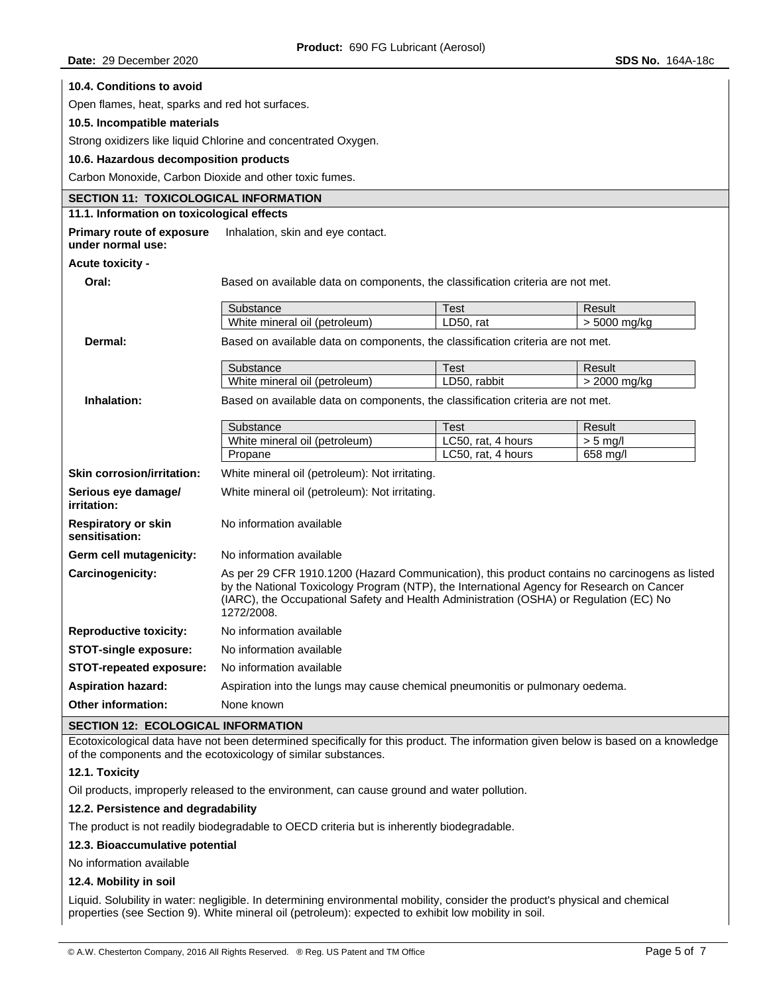| 10.4. Conditions to avoid                                                                                                                                                                           |                                                                                                                                                                                                                                                                                                     |                    |              |  |  |
|-----------------------------------------------------------------------------------------------------------------------------------------------------------------------------------------------------|-----------------------------------------------------------------------------------------------------------------------------------------------------------------------------------------------------------------------------------------------------------------------------------------------------|--------------------|--------------|--|--|
| Open flames, heat, sparks and red hot surfaces.                                                                                                                                                     |                                                                                                                                                                                                                                                                                                     |                    |              |  |  |
| 10.5. Incompatible materials                                                                                                                                                                        |                                                                                                                                                                                                                                                                                                     |                    |              |  |  |
|                                                                                                                                                                                                     | Strong oxidizers like liquid Chlorine and concentrated Oxygen.                                                                                                                                                                                                                                      |                    |              |  |  |
| 10.6. Hazardous decomposition products                                                                                                                                                              |                                                                                                                                                                                                                                                                                                     |                    |              |  |  |
| Carbon Monoxide, Carbon Dioxide and other toxic fumes.                                                                                                                                              |                                                                                                                                                                                                                                                                                                     |                    |              |  |  |
| <b>SECTION 11: TOXICOLOGICAL INFORMATION</b>                                                                                                                                                        |                                                                                                                                                                                                                                                                                                     |                    |              |  |  |
| 11.1. Information on toxicological effects                                                                                                                                                          |                                                                                                                                                                                                                                                                                                     |                    |              |  |  |
| <b>Primary route of exposure</b><br>under normal use:                                                                                                                                               | Inhalation, skin and eye contact.                                                                                                                                                                                                                                                                   |                    |              |  |  |
| Acute toxicity -                                                                                                                                                                                    |                                                                                                                                                                                                                                                                                                     |                    |              |  |  |
| Oral:                                                                                                                                                                                               | Based on available data on components, the classification criteria are not met.                                                                                                                                                                                                                     |                    |              |  |  |
|                                                                                                                                                                                                     | Substance                                                                                                                                                                                                                                                                                           | Test               | Result       |  |  |
|                                                                                                                                                                                                     | White mineral oil (petroleum)                                                                                                                                                                                                                                                                       | LD50, rat          | > 5000 mg/kg |  |  |
| Dermal:                                                                                                                                                                                             | Based on available data on components, the classification criteria are not met.                                                                                                                                                                                                                     |                    |              |  |  |
|                                                                                                                                                                                                     | Substance                                                                                                                                                                                                                                                                                           | Test               | Result       |  |  |
|                                                                                                                                                                                                     | White mineral oil (petroleum)                                                                                                                                                                                                                                                                       | LD50, rabbit       | > 2000 mg/kg |  |  |
| Inhalation:                                                                                                                                                                                         | Based on available data on components, the classification criteria are not met.                                                                                                                                                                                                                     |                    |              |  |  |
|                                                                                                                                                                                                     | Substance                                                                                                                                                                                                                                                                                           | <b>Test</b>        | Result       |  |  |
|                                                                                                                                                                                                     | White mineral oil (petroleum)                                                                                                                                                                                                                                                                       | LC50, rat, 4 hours | $> 5$ mg/l   |  |  |
|                                                                                                                                                                                                     | Propane                                                                                                                                                                                                                                                                                             | LC50, rat, 4 hours | 658 mg/l     |  |  |
| <b>Skin corrosion/irritation:</b>                                                                                                                                                                   | White mineral oil (petroleum): Not irritating.                                                                                                                                                                                                                                                      |                    |              |  |  |
| Serious eye damage/<br>irritation:                                                                                                                                                                  | White mineral oil (petroleum): Not irritating.                                                                                                                                                                                                                                                      |                    |              |  |  |
| <b>Respiratory or skin</b><br>sensitisation:                                                                                                                                                        | No information available                                                                                                                                                                                                                                                                            |                    |              |  |  |
| Germ cell mutagenicity:                                                                                                                                                                             | No information available                                                                                                                                                                                                                                                                            |                    |              |  |  |
| Carcinogenicity:                                                                                                                                                                                    | As per 29 CFR 1910.1200 (Hazard Communication), this product contains no carcinogens as listed<br>by the National Toxicology Program (NTP), the International Agency for Research on Cancer<br>(IARC), the Occupational Safety and Health Administration (OSHA) or Regulation (EC) No<br>1272/2008. |                    |              |  |  |
| <b>Reproductive toxicity:</b>                                                                                                                                                                       | No information available                                                                                                                                                                                                                                                                            |                    |              |  |  |
| <b>STOT-single exposure:</b>                                                                                                                                                                        | No information available                                                                                                                                                                                                                                                                            |                    |              |  |  |
| <b>STOT-repeated exposure:</b>                                                                                                                                                                      | No information available                                                                                                                                                                                                                                                                            |                    |              |  |  |
| <b>Aspiration hazard:</b>                                                                                                                                                                           | Aspiration into the lungs may cause chemical pneumonitis or pulmonary oedema.                                                                                                                                                                                                                       |                    |              |  |  |
| <b>Other information:</b>                                                                                                                                                                           | None known                                                                                                                                                                                                                                                                                          |                    |              |  |  |
| <b>SECTION 12: ECOLOGICAL INFORMATION</b>                                                                                                                                                           |                                                                                                                                                                                                                                                                                                     |                    |              |  |  |
| Ecotoxicological data have not been determined specifically for this product. The information given below is based on a knowledge<br>of the components and the ecotoxicology of similar substances. |                                                                                                                                                                                                                                                                                                     |                    |              |  |  |

# **12.1. Toxicity**

Oil products, improperly released to the environment, can cause ground and water pollution.

# **12.2. Persistence and degradability**

The product is not readily biodegradable to OECD criteria but is inherently biodegradable.

## **12.3. Bioaccumulative potential**

No information available

## **12.4. Mobility in soil**

Liquid. Solubility in water: negligible. In determining environmental mobility, consider the product's physical and chemical properties (see Section 9). White mineral oil (petroleum): expected to exhibit low mobility in soil.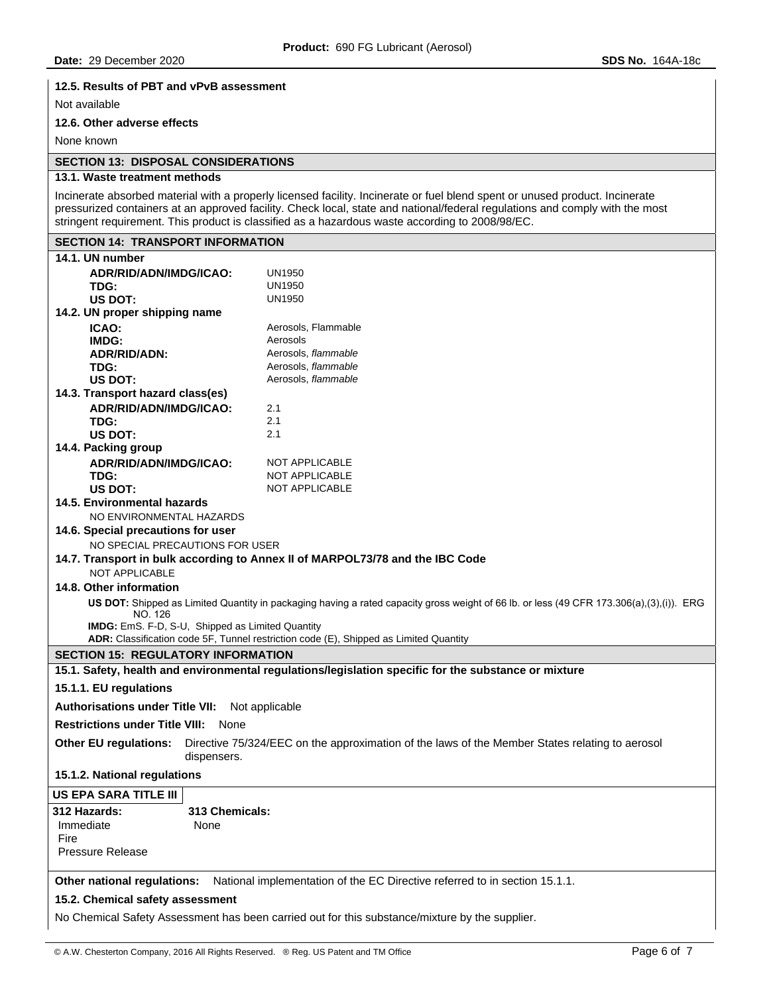## **12.5. Results of PBT and vPvB assessment**

Not available

# **12.6. Other adverse effects**

None known

## **SECTION 13: DISPOSAL CONSIDERATIONS**

### **13.1. Waste treatment methods**

Incinerate absorbed material with a properly licensed facility. Incinerate or fuel blend spent or unused product. Incinerate pressurized containers at an approved facility. Check local, state and national/federal regulations and comply with the most stringent requirement. This product is classified as a hazardous waste according to 2008/98/EC.

# **SECTION 14: TRANSPORT INFORMATION 14.1. UN number ADR/RID/ADN/IMDG/ICAO:** UN1950 **TDG:** UN1950<br>
US DOT: UN1950 US DOT: **14.2. UN proper shipping name ICAO: Aerosols, Flammable IMDG:** Aerosols **ADR/RID/ADN:** Aerosols, *flammable* **TDG:** Aerosols, *flammable* US DOT: **All Aerosols**, *flammable* **14.3. Transport hazard class(es) ADR/RID/ADN/IMDG/ICAO:** 2.1 **TDG:** 2.1 **US DOT:** 2.1 **14.4. Packing group ADR/RID/ADN/IMDG/ICAO:** NOT APPLICABLE **TDG:** NOT APPLICABLE<br>
US DOT: NOT APPLICABLE **NOT APPLICABLE 14.5. Environmental hazards**  NO ENVIRONMENTAL HAZARDS **14.6. Special precautions for user**  NO SPECIAL PRECAUTIONS FOR USER **14.7. Transport in bulk according to Annex II of MARPOL73/78 and the IBC Code**  NOT APPLICABLE **14.8. Other information US DOT:** Shipped as Limited Quantity in packaging having a rated capacity gross weight of 66 lb. or less (49 CFR 173.306(a),(3),(i)). ERG NO. 126 **IMDG:** EmS. F-D, S-U, Shipped as Limited Quantity **ADR:** Classification code 5F, Tunnel restriction code (E), Shipped as Limited Quantity **SECTION 15: REGULATORY INFORMATION 15.1. Safety, health and environmental regulations/legislation specific for the substance or mixture 15.1.1. EU regulations Authorisations under Title VII:** Not applicable **Restrictions under Title VIII:** None **Other EU regulations:** Directive 75/324/EEC on the approximation of the laws of the Member States relating to aerosol dispensers. **15.1.2. National regulations US EPA SARA TITLE III 312 Hazards: 313 Chemicals:**  Immediate None **Fire** Pressure Release **Other national regulations:** National implementation of the EC Directive referred to in section 15.1.1. **15.2. Chemical safety assessment**  No Chemical Safety Assessment has been carried out for this substance/mixture by the supplier.